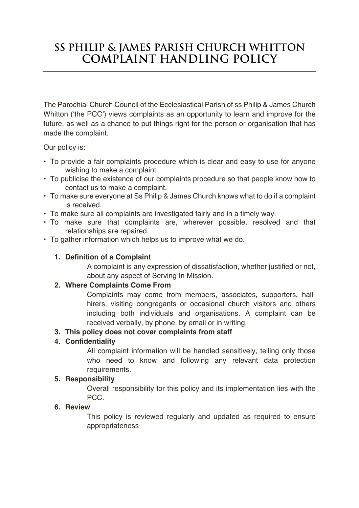# **Ss Philip & James Parish Church Whitton Complaint Handling Policy**

The Parochial Church Council of the Ecclesiastical Parish of ss Philip & James Church Whitton ('the PCC') views complaints as an opportunity to learn and improve for the future, as well as a chance to put things right for the person or organisation that has made the complaint.

Our policy is:

- To provide a fair complaints procedure which is clear and easy to use for anyone wishing to make a complaint.
- To publicise the existence of our complaints procedure so that people know how to contact us to make a complaint.
- To make sure everyone at Ss Philip & James Church knows what to do if a complaint is received.
- To make sure all complaints are investigated fairly and in a timely way.
- To make sure that complaints are, wherever possible, resolved and that relationships are repaired.
- To gather information which helps us to improve what we do.

## **1. Definition of a Complaint**

A complaint is any expression of dissatisfaction, whether justified or not, about any aspect of Serving In Mission.

### **2. Where Complaints Come From**

Complaints may come from members, associates, supporters, hallhirers, visiting congregants or occasional church visitors and others including both individuals and organisations. A complaint can be received verbally, by phone, by email or in writing.

## **3. This policy does not cover complaints from staff**

## **4. Confidentiality**

All complaint information will be handled sensitively, telling only those who need to know and following any relevant data protection requirements.

## **5. Responsibility**

Overall responsibility for this policy and its implementation lies with the PCC.

## **6. Review**

This policy is reviewed regularly and updated as required to ensure appropriateness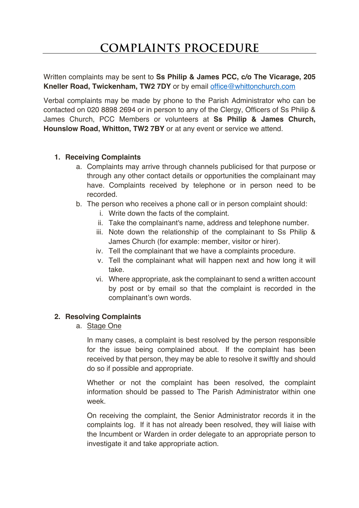Written complaints may be sent to **Ss Philip & James PCC, c/o The Vicarage, 205 Kneller Road, Twickenham, TW2 7DY** or by email office@whittonchurch.com

Verbal complaints may be made by phone to the Parish Administrator who can be contacted on 020 8898 2694 or in person to any of the Clergy, Officers of Ss Philip & James Church, PCC Members or volunteers at **Ss Philip & James Church, Hounslow Road, Whitton, TW2 7BY** or at any event or service we attend.

### **1. Receiving Complaints**

- a. Complaints may arrive through channels publicised for that purpose or through any other contact details or opportunities the complainant may have. Complaints received by telephone or in person need to be recorded.
- b. The person who receives a phone call or in person complaint should:
	- i. Write down the facts of the complaint.
	- ii. Take the complainant's name, address and telephone number.
	- iii. Note down the relationship of the complainant to Ss Philip & James Church (for example: member, visitor or hirer).
	- iv. Tell the complainant that we have a complaints procedure.
	- v. Tell the complainant what will happen next and how long it will take.
	- vi. Where appropriate, ask the complainant to send a written account by post or by email so that the complaint is recorded in the complainant's own words.

### **2. Resolving Complaints**

a. Stage One

In many cases, a complaint is best resolved by the person responsible for the issue being complained about. If the complaint has been received by that person, they may be able to resolve it swiftly and should do so if possible and appropriate.

Whether or not the complaint has been resolved, the complaint information should be passed to The Parish Administrator within one week.

On receiving the complaint, the Senior Administrator records it in the complaints log. If it has not already been resolved, they will liaise with the Incumbent or Warden in order delegate to an appropriate person to investigate it and take appropriate action.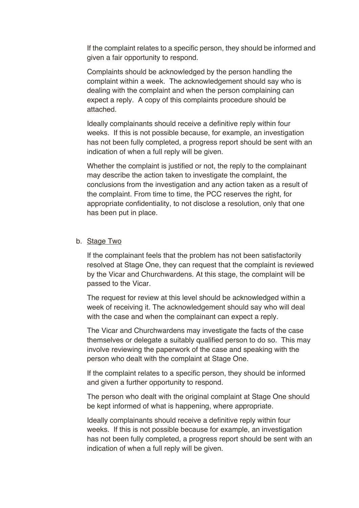If the complaint relates to a specific person, they should be informed and given a fair opportunity to respond.

Complaints should be acknowledged by the person handling the complaint within a week. The acknowledgement should say who is dealing with the complaint and when the person complaining can expect a reply. A copy of this complaints procedure should be attached.

Ideally complainants should receive a definitive reply within four weeks. If this is not possible because, for example, an investigation has not been fully completed, a progress report should be sent with an indication of when a full reply will be given.

Whether the complaint is justified or not, the reply to the complainant may describe the action taken to investigate the complaint, the conclusions from the investigation and any action taken as a result of the complaint. From time to time, the PCC reserves the right, for appropriate confidentiality, to not disclose a resolution, only that one has been put in place.

#### b. Stage Two

If the complainant feels that the problem has not been satisfactorily resolved at Stage One, they can request that the complaint is reviewed by the Vicar and Churchwardens. At this stage, the complaint will be passed to the Vicar.

The request for review at this level should be acknowledged within a week of receiving it. The acknowledgement should say who will deal with the case and when the complainant can expect a reply.

The Vicar and Churchwardens may investigate the facts of the case themselves or delegate a suitably qualified person to do so. This may involve reviewing the paperwork of the case and speaking with the person who dealt with the complaint at Stage One.

If the complaint relates to a specific person, they should be informed and given a further opportunity to respond.

The person who dealt with the original complaint at Stage One should be kept informed of what is happening, where appropriate.

Ideally complainants should receive a definitive reply within four weeks. If this is not possible because for example, an investigation has not been fully completed, a progress report should be sent with an indication of when a full reply will be given.